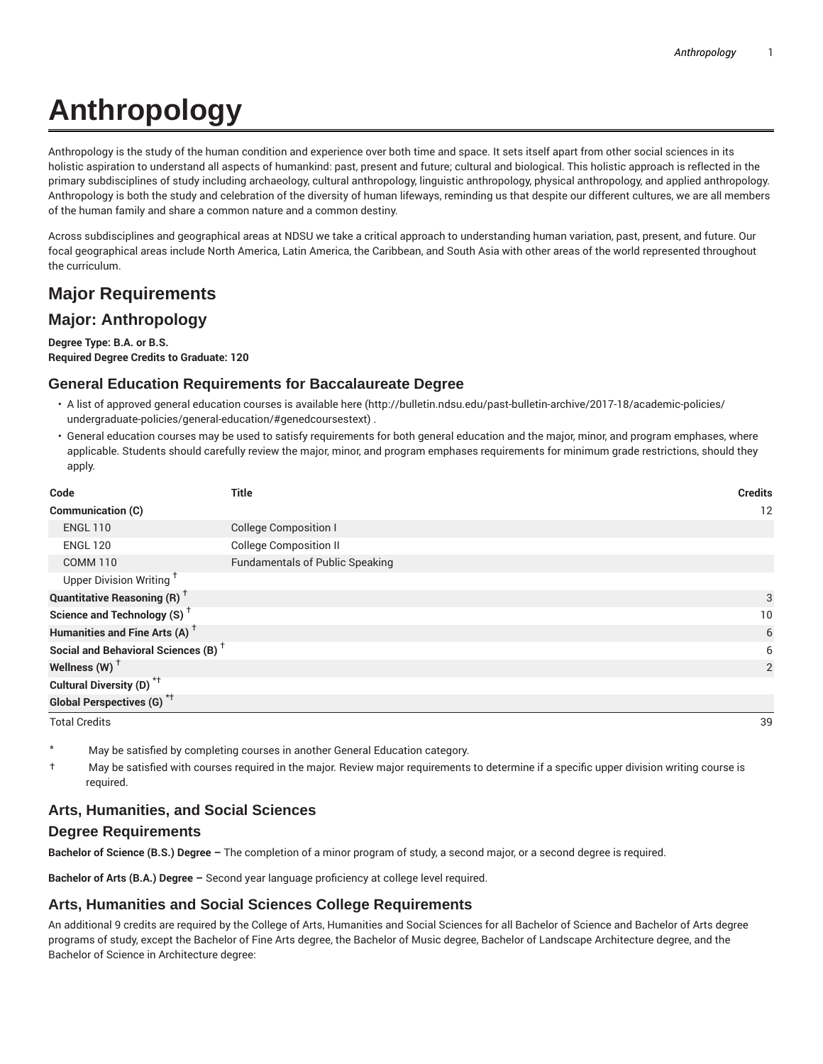# **Anthropology**

Anthropology is the study of the human condition and experience over both time and space. It sets itself apart from other social sciences in its holistic aspiration to understand all aspects of humankind: past, present and future; cultural and biological. This holistic approach is reflected in the primary subdisciplines of study including archaeology, cultural anthropology, linguistic anthropology, physical anthropology, and applied anthropology. Anthropology is both the study and celebration of the diversity of human lifeways, reminding us that despite our different cultures, we are all members of the human family and share a common nature and a common destiny.

Across subdisciplines and geographical areas at NDSU we take a critical approach to understanding human variation, past, present, and future. Our focal geographical areas include North America, Latin America, the Caribbean, and South Asia with other areas of the world represented throughout the curriculum.

# **Major Requirements**

## **Major: Anthropology**

**Degree Type: B.A. or B.S. Required Degree Credits to Graduate: 120**

#### **General Education Requirements for Baccalaureate Degree**

- A list of approved general education courses is available here (http://bulletin.ndsu.edu/past-bulletin-archive/2017-18/academic-policies/ undergraduate-policies/general-education/#genedcoursestext) .
- General education courses may be used to satisfy requirements for both general education and the major, minor, and program emphases, where applicable. Students should carefully review the major, minor, and program emphases requirements for minimum grade restrictions, should they apply.

| Code                                            | <b>Title</b>                           | <b>Credits</b> |
|-------------------------------------------------|----------------------------------------|----------------|
| <b>Communication (C)</b>                        |                                        | 12             |
| <b>ENGL 110</b>                                 | <b>College Composition I</b>           |                |
| <b>ENGL 120</b>                                 | <b>College Composition II</b>          |                |
| <b>COMM 110</b>                                 | <b>Fundamentals of Public Speaking</b> |                |
| Upper Division Writing <sup>1</sup>             |                                        |                |
| <b>Quantitative Reasoning (R)</b> <sup>†</sup>  |                                        | 3              |
| Science and Technology (S) <sup>+</sup>         |                                        | 10             |
| Humanities and Fine Arts (A) <sup>+</sup>       |                                        | 6              |
| Social and Behavioral Sciences (B) <sup>+</sup> |                                        | 6              |
| Wellness (W) $^{\dagger}$                       |                                        | 2              |
| Cultural Diversity (D) <sup>*†</sup>            |                                        |                |
| <b>Global Perspectives (G)</b> * <sup>+</sup>   |                                        |                |

Total Credits 39

- May be satisfied by completing courses in another General Education category.
- † May be satisfied with courses required in the major. Review major requirements to determine if a specific upper division writing course is required.

#### **Arts, Humanities, and Social Sciences**

#### **Degree Requirements**

**Bachelor of Science (B.S.) Degree –** The completion of a minor program of study, a second major, or a second degree is required.

**Bachelor of Arts (B.A.) Degree –** Second year language proficiency at college level required.

#### **Arts, Humanities and Social Sciences College Requirements**

An additional 9 credits are required by the College of Arts, Humanities and Social Sciences for all Bachelor of Science and Bachelor of Arts degree programs of study, except the Bachelor of Fine Arts degree, the Bachelor of Music degree, Bachelor of Landscape Architecture degree, and the Bachelor of Science in Architecture degree: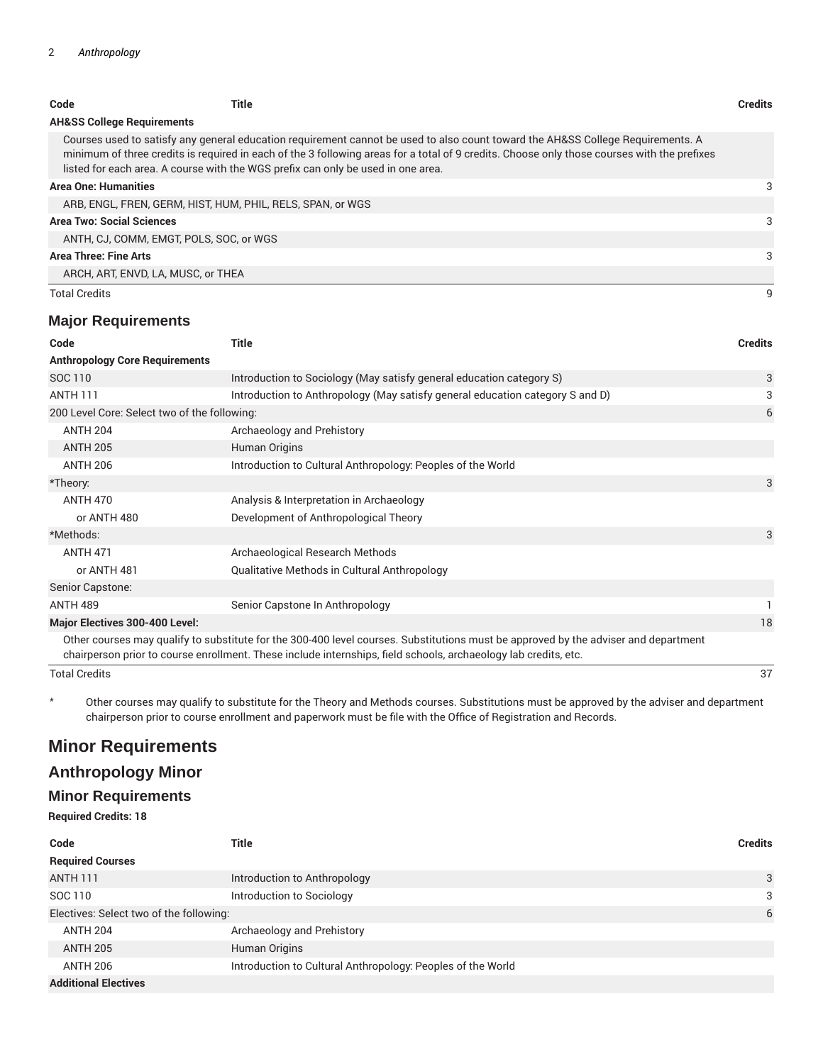| Code                 | Title                                                                                                                                                                                                                                                                                                                                                              | <b>Credits</b> |  |  |  |
|----------------------|--------------------------------------------------------------------------------------------------------------------------------------------------------------------------------------------------------------------------------------------------------------------------------------------------------------------------------------------------------------------|----------------|--|--|--|
|                      | <b>AH&amp;SS College Requirements</b>                                                                                                                                                                                                                                                                                                                              |                |  |  |  |
|                      | Courses used to satisfy any general education requirement cannot be used to also count toward the AH&SS College Requirements. A<br>minimum of three credits is required in each of the 3 following areas for a total of 9 credits. Choose only those courses with the prefixes<br>listed for each area. A course with the WGS prefix can only be used in one area. |                |  |  |  |
|                      | <b>Area One: Humanities</b>                                                                                                                                                                                                                                                                                                                                        |                |  |  |  |
|                      | ARB, ENGL, FREN, GERM, HIST, HUM, PHIL, RELS, SPAN, or WGS                                                                                                                                                                                                                                                                                                         |                |  |  |  |
|                      | Area Two: Social Sciences                                                                                                                                                                                                                                                                                                                                          |                |  |  |  |
|                      | ANTH, CJ, COMM, EMGT, POLS, SOC, or WGS                                                                                                                                                                                                                                                                                                                            |                |  |  |  |
|                      | <b>Area Three: Fine Arts</b>                                                                                                                                                                                                                                                                                                                                       |                |  |  |  |
|                      | ARCH, ART, ENVD, LA, MUSC, or THEA                                                                                                                                                                                                                                                                                                                                 |                |  |  |  |
| <b>Total Credits</b> |                                                                                                                                                                                                                                                                                                                                                                    | 9              |  |  |  |

### **Major Requirements**

| Code                                         | <b>Title</b>                                                                                                                                                                                                                                           | <b>Credits</b> |
|----------------------------------------------|--------------------------------------------------------------------------------------------------------------------------------------------------------------------------------------------------------------------------------------------------------|----------------|
| <b>Anthropology Core Requirements</b>        |                                                                                                                                                                                                                                                        |                |
| SOC 110                                      | Introduction to Sociology (May satisfy general education category S)                                                                                                                                                                                   | 3              |
| <b>ANTH 111</b>                              | Introduction to Anthropology (May satisfy general education category S and D)                                                                                                                                                                          | 3              |
| 200 Level Core: Select two of the following: |                                                                                                                                                                                                                                                        |                |
| <b>ANTH 204</b>                              | Archaeology and Prehistory                                                                                                                                                                                                                             |                |
| <b>ANTH 205</b>                              | Human Origins                                                                                                                                                                                                                                          |                |
| <b>ANTH 206</b>                              | Introduction to Cultural Anthropology: Peoples of the World                                                                                                                                                                                            |                |
| *Theory:                                     |                                                                                                                                                                                                                                                        | 3              |
| <b>ANTH 470</b>                              | Analysis & Interpretation in Archaeology                                                                                                                                                                                                               |                |
| or ANTH 480                                  | Development of Anthropological Theory                                                                                                                                                                                                                  |                |
| *Methods:                                    |                                                                                                                                                                                                                                                        | 3              |
| <b>ANTH 471</b>                              | Archaeological Research Methods                                                                                                                                                                                                                        |                |
| or ANTH 481                                  | Qualitative Methods in Cultural Anthropology                                                                                                                                                                                                           |                |
| Senior Capstone:                             |                                                                                                                                                                                                                                                        |                |
| <b>ANTH 489</b>                              | Senior Capstone In Anthropology                                                                                                                                                                                                                        |                |
| <b>Major Electives 300-400 Level:</b>        |                                                                                                                                                                                                                                                        | 18             |
|                                              | Other courses may qualify to substitute for the 300-400 level courses. Substitutions must be approved by the adviser and department<br>chairperson prior to course enrollment. These include internships, field schools, archaeology lab credits, etc. |                |
| <b>Total Credits</b>                         |                                                                                                                                                                                                                                                        | 37             |

\* Other courses may qualify to substitute for the Theory and Methods courses. Substitutions must be approved by the adviser and department chairperson prior to course enrollment and paperwork must be file with the Office of Registration and Records.

# **Minor Requirements**

# **Anthropology Minor**

#### **Minor Requirements**

**Required Credits: 18**

| Code                                    | Title                                                       | <b>Credits</b> |
|-----------------------------------------|-------------------------------------------------------------|----------------|
| <b>Required Courses</b>                 |                                                             |                |
| <b>ANTH 111</b>                         | Introduction to Anthropology                                | 3              |
| SOC 110                                 | Introduction to Sociology                                   | 3              |
| Electives: Select two of the following: |                                                             |                |
| <b>ANTH 204</b>                         | Archaeology and Prehistory                                  |                |
| <b>ANTH 205</b>                         | Human Origins                                               |                |
| <b>ANTH 206</b>                         | Introduction to Cultural Anthropology: Peoples of the World |                |
| <b>Additional Electives</b>             |                                                             |                |